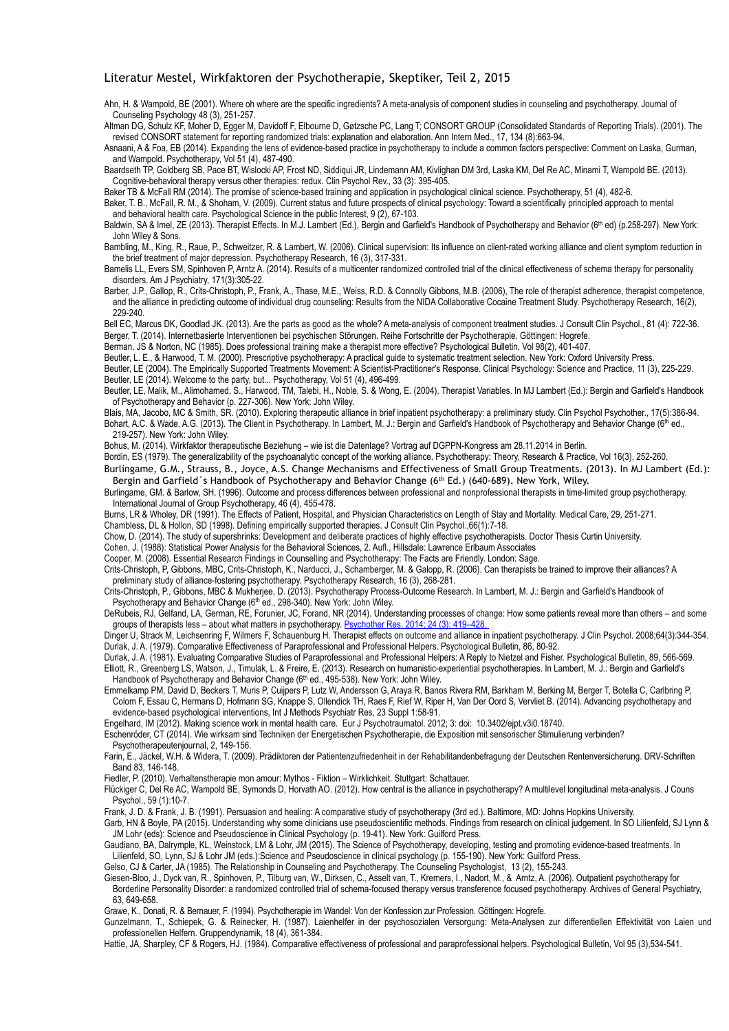## Literatur Mestel, Wirkfaktoren der Psychotherapie, Skeptiker, Teil 2, 2015

Ahn, H. & Wampold, BE (2001). [Where oh where are the specific ingredients? A meta-analysis of component studies in counseling and psychotherapy.](http://scholar.google.com/citations?view_op=view_citation&hl=de&user=oojjumsaaaaj&citation_for_view=oojjumsaaaaj:2osognq5qmec) Journal of Counseling Psychology 48 (3), 251-257.

[Altman DG](http://www.ncbi.nlm.nih.gov/pubmed/?term=altman%2520dg%255bauthor%255d&cauthor=true&cauthor_uid=11304107), [Schulz KF,](http://www.ncbi.nlm.nih.gov/pubmed/?term=schulz%2520kf%255bauthor%255d&cauthor=true&cauthor_uid=11304107) [Moher D,](http://www.ncbi.nlm.nih.gov/pubmed/?term=moher%2520d%255bauthor%255d&cauthor=true&cauthor_uid=11304107) [Egger M](http://www.ncbi.nlm.nih.gov/pubmed/?term=egger%2520m%255bauthor%255d&cauthor=true&cauthor_uid=11304107), [Davidoff F,](http://www.ncbi.nlm.nih.gov/pubmed/?term=davidoff%2520f%255bauthor%255d&cauthor=true&cauthor_uid=11304107) [Elbourne D](http://www.ncbi.nlm.nih.gov/pubmed/?term=elbourne%2520d%255bauthor%255d&cauthor=true&cauthor_uid=11304107), [Gøtzsche PC](http://www.ncbi.nlm.nih.gov/pubmed/?term=g%25c3%25b8tzsche%2520pc%255bauthor%255d&cauthor=true&cauthor_uid=11304107), [Lang T](http://www.ncbi.nlm.nih.gov/pubmed/?term=lang%2520t%255bauthor%255d&cauthor=true&cauthor_uid=11304107); [CONSORT GROUP \(Consolidated Standards of Reporting Trials\).](http://www.ncbi.nlm.nih.gov/pubmed/?term=consort%2520group%2520%2528consolidated%2520standards%2520of%2520reporting%2520trials%2529%255bcorporate%2520author%255d) (2001). The revised CONSORT statement for reporting randomized trials: explanation and elaboration. [Ann Intern Med.,](http://www.ncbi.nlm.nih.gov/pubmed/11304107) 17, 134 (8):663-94.

Asnaani, A & Foa, EB (2014). Expanding the lens of evidence-based practice in psychotherapy to include a common factors perspective: Comment on Laska, Gurman, and Wampold. Psychotherapy, Vol 51 (4), 487-490.

[Baardseth TP](http://www.ncbi.nlm.nih.gov/pubmed/?term=baardseth%2520tp%255bauthor%255d&cauthor=true&cauthor_uid=23416876), [Goldberg SB](http://www.ncbi.nlm.nih.gov/pubmed/?term=goldberg%2520sb%255bauthor%255d&cauthor=true&cauthor_uid=23416876), [Pace BT,](http://www.ncbi.nlm.nih.gov/pubmed/?term=pace%2520bt%255bauthor%255d&cauthor=true&cauthor_uid=23416876) [Wislocki AP,](http://www.ncbi.nlm.nih.gov/pubmed/?term=wislocki%2520ap%255bauthor%255d&cauthor=true&cauthor_uid=23416876) [Frost ND](http://www.ncbi.nlm.nih.gov/pubmed/?term=frost%2520nd%255bauthor%255d&cauthor=true&cauthor_uid=23416876), [Siddiqui JR](http://www.ncbi.nlm.nih.gov/pubmed/?term=siddiqui%2520jr%255bauthor%255d&cauthor=true&cauthor_uid=23416876), [Lindemann AM,](http://www.ncbi.nlm.nih.gov/pubmed/?term=lindemann%2520am%255bauthor%255d&cauthor=true&cauthor_uid=23416876) [Kivlighan DM 3rd](http://www.ncbi.nlm.nih.gov/pubmed/?term=kivlighan%2520dm%25203rd%255bauthor%255d&cauthor=true&cauthor_uid=23416876), [Laska KM](http://www.ncbi.nlm.nih.gov/pubmed/?term=laska%2520km%255bauthor%255d&cauthor=true&cauthor_uid=23416876), [Del Re AC](http://www.ncbi.nlm.nih.gov/pubmed/?term=del%2520re%2520ac%255bauthor%255d&cauthor=true&cauthor_uid=23416876), [Minami T](http://www.ncbi.nlm.nih.gov/pubmed/?term=minami%2520t%255bauthor%255d&cauthor=true&cauthor_uid=23416876), [Wampold BE.](http://www.ncbi.nlm.nih.gov/pubmed/?term=wampold%2520be%255bauthor%255d&cauthor=true&cauthor_uid=23416876) (2013). Cognitive-behavioral therapy versus other therapies: redux. [Clin Psychol Rev.](http://www.ncbi.nlm.nih.gov/pubmed/23416876), 33 (3): 395-405.

[Baker TB](http://www.ncbi.nlm.nih.gov/pubmed/?term=baker%2520tb%255bauthor%255d&cauthor=true&cauthor_uid=25419726) & [McFall RM](http://www.ncbi.nlm.nih.gov/pubmed/?term=mcfall%2520rm%255bauthor%255d&cauthor=true&cauthor_uid=25419726) (2014). The promise of science-based training and application in psychological clinical science. Psychotherapy, 51 (4), 482-6.

Baker, T. B., McFall, R. M., & Shoham, V. (2009). Current status and future prospects of clinical psychology: Toward a scientifically principled approach to mental and behavioral health care. Psychological Science in the public Interest, 9 (2), 67-103.

Baldwin, SA & Imel, ZE (2013). Therapist Effects. In M.J. Lambert (Ed.), Bergin and Garfield's Handbook of Psychotherapy and Behavior (6<sup>th</sup> ed) (p.258-297). New York: John Wiley & Sons.

Bambling, M., King, R., Raue, P., Schweitzer, R. & Lambert, W. (2006). Clinical supervision: Its influence on client-rated working alliance and client symptom reduction in the brief treatment of major depression. Psychotherapy Research, 16 (3), 317-331.

[Bamelis LL,](http://www.ncbi.nlm.nih.gov/pubmed/?term=bamelis%2520ll%255bauthor%255d&cauthor=true&cauthor_uid=24322378) [Evers SM,](http://www.ncbi.nlm.nih.gov/pubmed/?term=evers%2520sm%255bauthor%255d&cauthor=true&cauthor_uid=24322378) [Spinhoven P,](http://www.ncbi.nlm.nih.gov/pubmed/?term=spinhoven%2520p%255bauthor%255d&cauthor=true&cauthor_uid=24322378) [Arntz A](http://www.ncbi.nlm.nih.gov/pubmed/?term=arntz%2520a%255bauthor%255d&cauthor=true&cauthor_uid=24322378). (2014). Results of a multicenter randomized controlled trial of the clinical effectiveness of schema therapy for personality disorders. Am J Psychiatry, 171(3):305-22.

Barber, J.P., Gallop, R., Crits-Christoph, P., Frank, A., Thase, M.E., Weiss, R.D. & Connolly Gibbons, M.B. (2006), The role of therapist adherence, therapist competence, and the alliance in predicting outcome of individual drug counseling: Results from the NIDA Collaborative Cocaine Treatment Study. Psychotherapy Research, 16(2), 229-240.

[Bell EC,](http://www.ncbi.nlm.nih.gov/pubmed/?term=bell%2520ec%255bauthor%255d&cauthor=true&cauthor_uid=23688145) [Marcus DK](http://www.ncbi.nlm.nih.gov/pubmed/?term=marcus%2520dk%255bauthor%255d&cauthor=true&cauthor_uid=23688145), [Goodlad JK.](http://www.ncbi.nlm.nih.gov/pubmed/?term=goodlad%2520jk%255bauthor%255d&cauthor=true&cauthor_uid=23688145) (2013). Are the parts as good as the whole? A meta-analysis of component treatment studies. [J Consult Clin Psychol.](http://www.ncbi.nlm.nih.gov/pubmed/?term=ahn+wampold), 81 (4): 722-36. Berger, T. (2014). Internetbasierte Interventionen bei psychischen Störungen. Reihe Fortschritte der Psychotherapie. Göttingen: Hogrefe.

Berman, JS & Norton, NC (1985). Does professional training make a therapist more effective? Psychological Bulletin, Vol 98(2), 401-407.

Beutler, L. E., & Harwood, T. M. (2000). Prescriptive psychotherapy: A practical guide to systematic treatment selection. New York: Oxford University Press.

Beutler, LE (2004). The Empirically Supported Treatments Movement: A Scientist-Practitioner's Response. Clinical Psychology: Science and Practice, 11 (3), 225-229. Beutler, LE (2014). Welcome to the party, but... Psychotherapy, Vol 51 (4), 496-499.

Beutler, LE, Malik, M., Alimohamed, S., Harwood, TM, Talebi, H., Noble, S. & Wong, E. (2004). Therapist Variables. In MJ Lambert (Ed.): Bergin and Garfield's Handbook of Psychotherapy and Behavior (p. 227-306). New York: John Wiley.

Blais, MA, Jacobo, MC & Smith, SR. (2010). Exploring therapeutic alliance in brief inpatient psychotherapy: a preliminary study. [Clin Psychol Psychother.,](http://www.ncbi.nlm.nih.gov/pubmed/20013757) 17(5):386-94. Bohart, A.C. & Wade, A.G. (2013). The Client in Psychotherapy. In Lambert, M. J.: Bergin and Garfield's Handbook of Psychotherapy and Behavior Change (6<sup>th</sup> ed., 219-257). New York: John Wiley.

Bohus, M. (2014). Wirkfaktor therapeutische Beziehung – wie ist die Datenlage? Vortrag auf DGPPN-Kongress am 28.11.2014 in Berlin.

Bordin, ES (1979). The generalizability of the psychoanalytic concept of the working alliance. Psychotherapy: Theory, Research & Practice, Vol 16(3), 252-260. Burlingame, G.M., Strauss, B., Joyce, A.S. Change Mechanisms and Effectiveness of Small Group Treatments. (2013). In MJ Lambert (Ed.):

Bergin and Garfield's Handbook of Psychotherapy and Behavior Change (6th Ed.) (640-689). New York, Wiley.

Burlingame, GM. & Barlow, SH. (1996). Outcome and process differences between professional and nonprofessional therapists in time-limited group psychotherapy. International Journal of Group Psychotherapy, 46 (4), 455-478.

Burns, LR & Wholey, DR (1991). The Effects of Patient, Hospital, and Physician Characteristics on Length of Stay and Mortality. Medical Care, 29, 251-271. Chambless, DL & Hollon, SD (1998). Defining empirically supported therapies. J Consult Clin Psychol.,66(1):7-18.

Chow, D. (2014). The study of supershrinks: Development and deliberate practices of highly effective psychotherapists. Doctor Thesis Curtin University.

Cohen, J. (1988): Statistical Power Analysis for the Behavioral Sciences, 2. Aufl., Hillsdale: Lawrence Erlbaum Associates

Cooper, M. (2008). Essential Research Findings in Counselling and Psychotherapy: The Facts are Friendly. London: Sage.

Crits-Christoph, P, Gibbons, MBC, Crits-Christoph, K., Narducci, J., Schamberger, M. & Galopp, R. (2006). Can therapists be trained to improve their alliances? A preliminary study of alliance-fostering psychotherapy. Psychotherapy Research, 16 (3), 268-281.

Crits-Christoph, P., Gibbons, MBC & Mukherjee, D. (2013). Psychotherapy Process-Outcome Research. In Lambert, M. J.: Bergin and Garfield's Handbook of Psychotherapy and Behavior Change (6<sup>th</sup> ed., 298-340). New York: John Wiley.

DeRubeis, RJ, Gelfand, LA, German, RE, Forunier, JC, Forand, NR (2014). Understanding processes of change: How some patients reveal more than others – and some groups of therapists less – about what matters in psychotherapy. Psychother Res. 2014; 24 (3): 419–4

Dinger U, Strack M, Leichsenring F, Wilmers F, Schauenburg H. Therapist effects on outcome and alliance in inpatient psychotherapy. J Clin Psychol. 2008;64(3):344-354. Durlak, J. A. (1979). Comparative Effectiveness of Paraprofessional and Professional Helpers. Psychological Bulletin, 86, 80-92.

Durlak, J. A. (1981). Evaluating Comparative Studies of Paraprofessional and Professional Helpers: A Reply to Nietzel and Fisher. Psychological Bulletin, 89, 566-569. Elliott, R., Greenberg LS, Watson, J., Timulak, L. & Freire, E. (2013). Research on humanistic-experiential psychotherapies. In Lambert, M. J.: Bergin and Garfield's Handbook of Psychotherapy and Behavior Change (6<sup>th</sup> ed., 495-538). New York: John Wiley.

Emmelkamp PM, David D, Beckers T, Muris P, Cuijpers P, Lutz W, Andersson G, Araya R, Banos Rivera RM, Barkham M, Berking M, Berger T, Botella C, Carlbring P, Colom F, Essau C, Hermans D, Hofmann SG, Knappe S, Ollendick TH, Raes F, Rief W, Riper H, Van Der Oord S, Vervliet B. (2014). Advancing psychotherapy and evidence-based psychological interventions, Int J Methods Psychiatr Res, 23 Suppl 1:58-91.

Engelhard, IM (2012). Making science work in mental health care. Eur J Psychotraumatol. 2012; 3: doi: [10.3402/ejpt.v3i0.18740.](http://dx.doi.org/10.3402%252fejpt.v3i0.18740)

Eschenröder, CT (2014). Wie wirksam sind Techniken der Energetischen Psychotherapie, die Exposition mit sensorischer Stimulierung verbinden? Psychotherapeutenjournal, 2, 149-156.

Farin, E., Jäckel, W.H. & Widera, T. (2009). Prädiktoren der Patientenzufriedenheit in der Rehabilitandenbefragung der Deutschen Rentenversicherung. DRV-Schriften Band 83, 146-148.

Fiedler, P. (2010). Verhaltenstherapie mon amour: Mythos - Fiktion – Wirklichkeit. Stuttgart: Schattauer.

[Flü](http://www.ncbi.nlm.nih.gov/pubmed/?term=fl%25c3%25bcckiger%2520c%255bauthor%255d&cauthor=true&cauthor_uid=21988681)[ckiger C, Del Re AC, Wampold BE, Symonds D, Horvath AO. \(2012\). How central is the alliance in psychotherapy? A multilevel longitudinal meta-analysis. J Couns](http://www.ncbi.nlm.nih.gov/pubmed/21988681)  Psychol., 59 (1):10-7.

Frank, J. D. & Frank, J. B. (1991). Persuasion and healing: A comparative study of psychotherapy (3rd ed.). Baltimore, MD: Johns Hopkins University.

Garb, HN & Boyle, PA (2015). Understanding why some clinicians use pseudoscientific methods. Findings from research on clinical judgement. In SO Lilienfeld, SJ Lynn & JM Lohr (eds): Science and Pseudoscience in Clinical Psychology (p. 19-41). New York: Guilford Press.

Gaudiano, BA, Dalrymple, KL, Weinstock, LM & Lohr, JM (2015). The Science of Psychotherapy, developing, testing and promoting evidence-based treatments. In Lilienfeld, SO, Lynn, SJ & Lohr JM (eds.):Science and Pseudoscience in clinical psychology (p. 155-190). New York: Guilford Press.

Gelso, CJ & Carter, JA (1985). The Relationship in Counseling and Psychotherapy. The Counseling Psychologist, 13 (2), 155-243.

Giesen-Bloo, J., Dyck van, R., Spinhoven, P., Tilburg van, W., Dirksen, C., Asselt van, T., Kremers, I., Nadort, M., & Arntz, A. (2006). Outpatient psychotherapy for Borderline Personality Disorder: a randomized controlled trial of schema-focused therapy versus transference focused psychotherapy. Archives of General Psychiatry, 63, 649-658.

Grawe, K., Donati, R. & Bernauer, F. (1994). Psychotherapie im Wandel: Von der Konfession zur Profession. Göttingen: Hogrefe.

Gunzelmann, T., Schiepek, G. & Reinecker, H. (1987). Laienhelfer in der psychosozialen Versorgung: Meta-Analysen zur differentiellen Effektivität von Laien und professionellen Helfern. Gruppendynamik, 18 (4), 361-384.

Hattie, JA, Sharpley, CF & Rogers, HJ. (1984). Comparative effectiveness of professional and paraprofessional helpers. Psychological Bulletin, Vol 95 (3),534-541.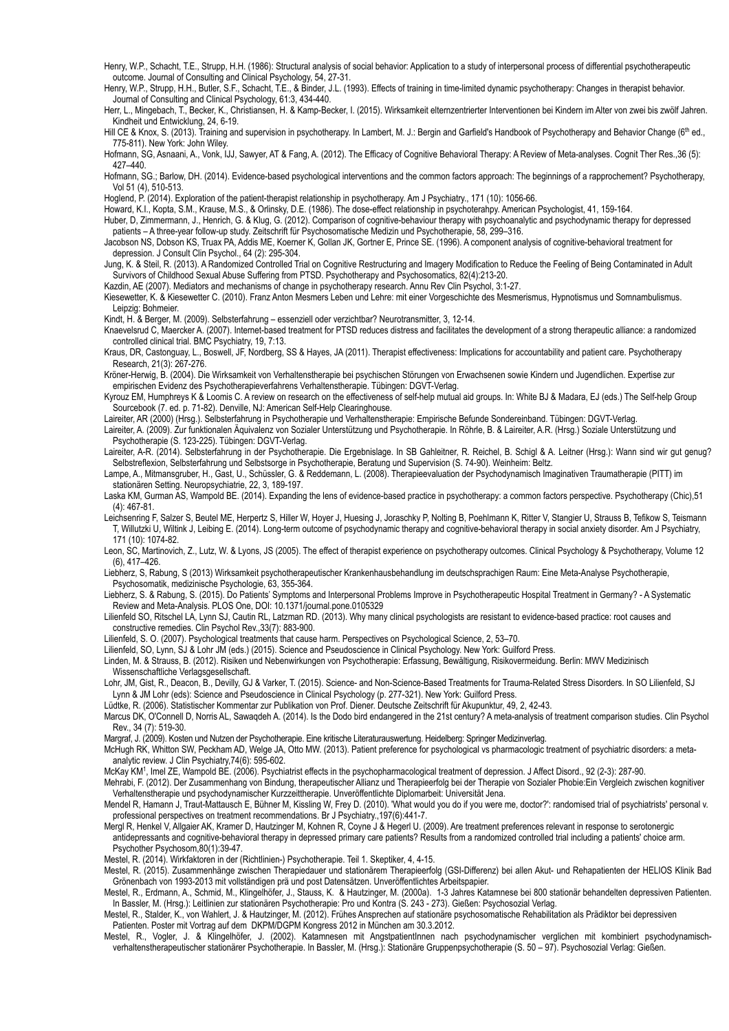Henry, W.P., Schacht, T.E., Strupp, H.H. (1986): Structural analysis of social behavior: Application to a study of interpersonal process of differential psychotherapeutic outcome. Journal of Consulting and Clinical Psychology, 54, 27-31.

Henry, W.P., Strupp, H.H., Butler, S.F., Schacht, T.E., & Binder, J.L. (1993). Effects of training in time-limited dynamic psychotherapy: Changes in therapist behavior. Journal of Consulting and Clinical Psychology, 61:3, 434-440.

Herr, L., Mingebach, T., Becker, K., Christiansen, H. & Kamp-Becker, I. (2015). Wirksamkeit elternzentrierter Interventionen bei Kindern im Alter von zwei bis zwölf Jahren. Kindheit und Entwicklung, 24, 6-19.

Hill CE & Knox, S. (2013). Training and supervision in psychotherapy. In Lambert, M. J.: Bergin and Garfield's Handbook of Psychotherapy and Behavior Change (6<sup>th</sup> ed., 775-811). New York: John Wiley.

Hofmann, SG, Asnaani, A., Vonk, IJJ, Sawyer, AT & Fang, A. (2012). The Efficacy of Cognitive Behavioral Therapy: A Review of Meta-analyses. Cognit Ther Res.,36 (5): 427–440.

Hofmann, SG.; Barlow, DH. (2014). Evidence-based psychological interventions and the common factors approach: The beginnings of a rapprochement? Psychotherapy, Vol 51 (4), 510-513.

Hoglend, P. (2014). Exploration of the patient-therapist relationship in psychotherapy. [Am J Psychiatry.,](http://www.ncbi.nlm.nih.gov/pubmed/25017093) 171 (10): 1056-66.

Howard, K.I., Kopta, S.M., Krause, M.S., & Orlinsky, D.E. (1986). The dose-effect relationship in psychoterahpy. American Psychologist, 41, 159-164. Huber, D, Zimmermann, J., Henrich, G. & Klug, G. (2012). Comparison of cognitive-behaviour therapy with psychoanalytic and psychodynamic therapy for depressed

patients – A three-year follow-up study. Zeitschrift für Psychosomatische Medizin und Psychotherapie, 58, 299–316. [Jacobson NS](http://www.ncbi.nlm.nih.gov/pubmed/?term=jacobson%2520ns%255bauthor%255d&cauthor=true&cauthor_uid=8871414), [Dobson KS,](http://www.ncbi.nlm.nih.gov/pubmed/?term=dobson%2520ks%255bauthor%255d&cauthor=true&cauthor_uid=8871414) [Truax PA](http://www.ncbi.nlm.nih.gov/pubmed/?term=truax%2520pa%255bauthor%255d&cauthor=true&cauthor_uid=8871414), [Addis ME](http://www.ncbi.nlm.nih.gov/pubmed/?term=addis%2520me%255bauthor%255d&cauthor=true&cauthor_uid=8871414), [Koerner K,](http://www.ncbi.nlm.nih.gov/pubmed/?term=koerner%2520k%255bauthor%255d&cauthor=true&cauthor_uid=8871414) [Gollan JK,](http://www.ncbi.nlm.nih.gov/pubmed/?term=gollan%2520jk%255bauthor%255d&cauthor=true&cauthor_uid=8871414) [Gortner E,](http://www.ncbi.nlm.nih.gov/pubmed/?term=gortner%2520e%255bauthor%255d&cauthor=true&cauthor_uid=8871414) [Prince SE.](http://www.ncbi.nlm.nih.gov/pubmed/?term=prince%2520se%255bauthor%255d&cauthor=true&cauthor_uid=8871414) (1996). A component analysis of cognitive-behavioral treatment for

depression. [J Consult Clin Psychol.,](http://www.ncbi.nlm.nih.gov/pubmed/8871414) 64 (2): 295-304.

Jung, K. & Steil, R. (2013). A Randomized Controlled Trial on Cognitive Restructuring and Imagery Modification to Reduce the Feeling of Being Contaminated in Adult Survivors of Childhood Sexual Abuse Suffering from PTSD. Psychotherapy and Psychosomatics, 82(4):213-20.

Kazdin, AE (2007). Mediators and mechanisms of change in psychotherapy research. Annu Rev Clin Psychol, 3:1-27.

Kiesewetter, K. & Kiesewetter C. (2010). Franz Anton Mesmers Leben und Lehre: mit einer Vorgeschichte des Mesmerismus, Hypnotismus und Somnambulismus. Leipzig: Bohmeier.

Kindt, H. & Berger, M. (2009). Selbsterfahrung – essenziell oder verzichtbar? Neurotransmitter, 3, 12-14.

[Knaevelsrud C](http://www.ncbi.nlm.nih.gov/pubmed/?term=knaevelsrud%2520c%255bauthor%255d&cauthor=true&cauthor_uid=17442125), [Maercker A.](http://www.ncbi.nlm.nih.gov/pubmed/?term=maercker%2520a%255bauthor%255d&cauthor=true&cauthor_uid=17442125) (2007). Internet-based treatment for PTSD reduces distress and facilitates the development of a strong therapeutic alliance: a randomized controlled clinical trial. BMC Psychiatry, 19, 7:13.

Kraus, DR, Castonguay, L., Boswell, JF, Nordberg, SS & Hayes, JA (2011). Therapist effectiveness: Implications for accountability and patient care. Psychotherapy Research, 21(3): 267-276.

Kröner-Herwig, B. (2004). Die Wirksamkeit von Verhaltenstherapie bei psychischen Störungen von Erwachsenen sowie Kindern und Jugendlichen. Expertise zur empirischen Evidenz des Psychotherapieverfahrens Verhaltenstherapie. Tübingen: DGVT-Verlag.

Kyrouz EM, Humphreys K & Loomis C. A review on research on the effectiveness of self-help mutual aid groups. In: White BJ & Madara, EJ (eds.) The Self-help Group Sourcebook (7. ed. p. 71-82). Denville, NJ: American Self-Help Clearinghouse.

Laireiter, AR (2000) (Hrsg.). Selbsterfahrung in Psychotherapie und Verhaltenstherapie: Empirische Befunde Sondereinband. Tübingen: DGVT-Verlag.

Laireiter, A. (2009). Zur funktionalen Äquivalenz von Sozialer Unterstützung und Psychotherapie. In Röhrle, B. & Laireiter, A.R. (Hrsg.) Soziale Unterstützung und Psychotherapie (S. 123-225). Tübingen: DGVT-Verlag.

Laireiter, A-R. (2014). Selbsterfahrung in der Psychotherapie. Die Ergebnislage. In SB Gahleitner, R. Reichel, B. Schigl & A. Leitner (Hrsg.): Wann sind wir gut genug? Selbstreflexion, Selbsterfahrung und Selbstsorge in Psychotherapie, Beratung und Supervision (S. 74-90). Weinheim: Beltz.

Lampe, A., Mitmansgruber, H., Gast, U., Schüssler, G. & Reddemann, L. (2008). Therapieevaluation der Psychodynamisch Imaginativen Traumatherapie (PITT) im stationären Setting. Neuropsychiatrie, 22, 3, 189-197.

[Laska KM](http://www.ncbi.nlm.nih.gov/pubmed/?term=laska%2520km%255bauthor%255d&cauthor=true&cauthor_uid=24377408), [Gurman AS,](http://www.ncbi.nlm.nih.gov/pubmed/?term=gurman%2520as%255bauthor%255d&cauthor=true&cauthor_uid=24377408) [Wampold BE](http://www.ncbi.nlm.nih.gov/pubmed/?term=wampold%2520be%255bauthor%255d&cauthor=true&cauthor_uid=24377408). (2014). Expanding the lens of evidence-based practice in psychotherapy: a common factors perspective. [Psychotherapy \(Chic\),](http://www.ncbi.nlm.nih.gov/pubmed/24377408)51 (4): 467-81.

Leichsenring F, Salzer S, Beutel ME, Herpertz S, Hiller W, Hoyer J, Huesing J, Joraschky P, Nolting B, Poehlmann K, Ritter V, Stangier U, Strauss B, Tefikow S, Teismann T, Willutzki U, Wiltink J, Leibing E. (2014). [Long-term outcome of psychodynamic therapy and cognitive-behavioral therapy in social anxiety disorder.](http://www.ncbi.nlm.nih.gov/pubmed/25016974) Am J Psychiatry, 171 (10): 1074-82.

L[eon, SC, Martinovich, Z., Lutz, W. & Lyons, JS \(2005\). The effect of therapist experience on psychotherapy outcomes. Clinical Psychology & Psychotherapy, Volume 12](http://onlinelibrary.wiley.com/doi/10.1002/cpp.v12:6/issuetoc)  (6), 417–426.

Liebherz, S, Rabung, S (2013) Wirksamkeit psychotherapeutischer Krankenhausbehandlung im deutschsprachigen Raum: Eine Meta-Analyse Psychotherapie, Psychosomatik, medizinische Psychologie, 63, 355-364.

Liebherz, S. & Rabung, S. (2015). Do Patients' Symptoms and Interpersonal Problems Improve in Psychotherapeutic Hospital Treatment in Germany? - A Systematic Review and Meta-Analysis. PLOS One, DOI: 10.1371/journal.pone.0105329

[Lilienfeld SO](http://www.ncbi.nlm.nih.gov/pubmed/?term=lilienfeld%2520so%255bauthor%255d&cauthor=true&cauthor_uid=23647856), [Ritschel LA](http://www.ncbi.nlm.nih.gov/pubmed/?term=ritschel%2520la%255bauthor%255d&cauthor=true&cauthor_uid=23647856), [Lynn SJ](http://www.ncbi.nlm.nih.gov/pubmed/?term=lynn%2520sj%255bauthor%255d&cauthor=true&cauthor_uid=23647856), [Cautin RL](http://www.ncbi.nlm.nih.gov/pubmed/?term=cautin%2520rl%255bauthor%255d&cauthor=true&cauthor_uid=23647856), [Latzman RD](http://www.ncbi.nlm.nih.gov/pubmed/?term=latzman%2520rd%255bauthor%255d&cauthor=true&cauthor_uid=23647856). (2013). Why many clinical psychologists are resistant to evidence-based practice: root causes and constructive remedies. [Clin Psychol Rev.,](http://www.ncbi.nlm.nih.gov/pubmed/23647856)33(7): 883-900.

Lilienfeld, S. O. (2007). Psychological treatments that cause harm. Perspectives on Psychological Science, 2, 53–70.

Lilienfeld, SO, Lynn, SJ & Lohr JM (eds.) (2015). Science and Pseudoscience in Clinical Psychology. New York: Guilford Press.

Linden, M. & Strauss, B. (2012). Risiken und Nebenwirkungen von Psychotherapie: Erfassung, Bewältigung, Risikovermeidung. Berlin: MWV Medizinisch Wissenschaftliche Verlagsgesellschaft.

Lohr, JM, Gist, R., Deacon, B., Devilly, GJ & Varker, T. (2015). Science- and Non-Science-Based Treatments for Trauma-Related Stress Disorders. In SO Lilienfeld, SJ Lynn & JM Lohr (eds): Science and Pseudoscience in Clinical Psychology (p. 277-321). New York: Guilford Press.

Lüdtke, R. (2006). Statistischer Kommentar zur Publikation von Prof. Diener. Deutsche Zeitschrift für Akupunktur, 49, 2, 42-43.

[Ma](http://www.ncbi.nlm.nih.gov/pubmed/?term=marcus%2520dk%255bauthor%255d&cauthor=true&cauthor_uid=25238455)[rcus DK, O](http://www.ncbi.nlm.nih.gov/pubmed/?term=marcus+2014+meta-analysis+dodo)['](http://www.ncbi.nlm.nih.gov/pubmed/?term=o%2527connell%2520d%255bauthor%255d&cauthor=true&cauthor_uid=25238455)[Connell D, Norris AL, Sawaqdeh A. \(2014\). Is the Dodo bird endangered in the 21st century? A meta-analysis of treatment comparison studies. Clin Psychol](http://www.ncbi.nlm.nih.gov/pubmed/?term=marcus+2014+meta-analysis+dodo)  Rev., 34 (7): 519-30.

Margraf, J. (2009). Kosten und Nutzen der Psychotherapie. Eine kritische Literaturauswertung. Heidelberg: Springer Medizinverlag.

[McHugh RK](http://www.ncbi.nlm.nih.gov/pubmed/?term=mchugh%2520rk%255bauthor%255d&cauthor=true&cauthor_uid=23842011), [Whitton SW](http://www.ncbi.nlm.nih.gov/pubmed/?term=whitton%2520sw%255bauthor%255d&cauthor=true&cauthor_uid=23842011), [Peckham AD,](http://www.ncbi.nlm.nih.gov/pubmed/?term=peckham%2520ad%255bauthor%255d&cauthor=true&cauthor_uid=23842011) [Welge JA,](http://www.ncbi.nlm.nih.gov/pubmed/?term=welge%2520ja%255bauthor%255d&cauthor=true&cauthor_uid=23842011) [Otto MW.](http://www.ncbi.nlm.nih.gov/pubmed/?term=otto%2520mw%255bauthor%255d&cauthor=true&cauthor_uid=23842011) (2013). Patient preference for psychological vs pharmacologic treatment of psychiatric disorders: a metaanalytic review. J Clin Psychiatry,74(6): 595-602.

[McKay KM1](http://www.ncbi.nlm.nih.gov/pubmed/?term=mckay%2520km%255bauthor%255d&cauthor=true&cauthor_uid=16503356) , [Imel ZE](http://www.ncbi.nlm.nih.gov/pubmed/?term=imel%2520ze%255bauthor%255d&cauthor=true&cauthor_uid=16503356), [Wampold BE](http://www.ncbi.nlm.nih.gov/pubmed/?term=wampold%2520be%255bauthor%255d&cauthor=true&cauthor_uid=16503356). (2006). Psychiatrist effects in the psychopharmacological treatment of depression. [J Affect Disord.,](http://www.ncbi.nlm.nih.gov/pubmed/16503356) 92 (2-3): 287-90.

Mehrabi, F. (2012). Der Zusammenhang von Bindung, therapeutischer Allianz und Therapieerfolg bei der Therapie von Sozialer Phobie:Ein Vergleich zwischen kognitiver Verhaltenstherapie und psychodynamischer Kurzzeittherapie. Unveröffentlichte Diplomarbeit: Universität Jena.

[Mendel R](http://www.ncbi.nlm.nih.gov/pubmed/?term=mendel%2520r%255bauthor%255d&cauthor=true&cauthor_uid=21119149), [Hamann J,](http://www.ncbi.nlm.nih.gov/pubmed/?term=hamann%2520j%255bauthor%255d&cauthor=true&cauthor_uid=21119149) [Traut-Mattausch E,](http://www.ncbi.nlm.nih.gov/pubmed/?term=traut-mattausch%2520e%255bauthor%255d&cauthor=true&cauthor_uid=21119149) [Bühner M](http://www.ncbi.nlm.nih.gov/pubmed/?term=b%25c3%25bchner%2520m%255bauthor%255d&cauthor=true&cauthor_uid=21119149), [Kissling W,](http://www.ncbi.nlm.nih.gov/pubmed/?term=kissling%2520w%255bauthor%255d&cauthor=true&cauthor_uid=21119149) [Frey D](http://www.ncbi.nlm.nih.gov/pubmed/?term=frey%2520d%255bauthor%255d&cauthor=true&cauthor_uid=21119149). (2010). 'What would you do if you were me, doctor?': randomised trial of psychiatrists' personal v. professional perspectives on treatment recommendations. [Br J Psychiatry.,](http://www.ncbi.nlm.nih.gov/pubmed/21119149)197(6):441-7.

[Mergl R](http://www.ncbi.nlm.nih.gov/pubmed/?term=mergl%2520r%255bauthor%255d&cauthor=true&cauthor_uid=20975325), [Henkel V,](http://www.ncbi.nlm.nih.gov/pubmed/?term=henkel%2520v%255bauthor%255d&cauthor=true&cauthor_uid=20975325) [Allgaier AK](http://www.ncbi.nlm.nih.gov/pubmed/?term=allgaier%2520ak%255bauthor%255d&cauthor=true&cauthor_uid=20975325), [Kramer D,](http://www.ncbi.nlm.nih.gov/pubmed/?term=kramer%2520d%255bauthor%255d&cauthor=true&cauthor_uid=20975325) [Hautzinger M](http://www.ncbi.nlm.nih.gov/pubmed/?term=hautzinger%2520m%255bauthor%255d&cauthor=true&cauthor_uid=20975325), [Kohnen R](http://www.ncbi.nlm.nih.gov/pubmed/?term=kohnen%2520r%255bauthor%255d&cauthor=true&cauthor_uid=20975325), [Coyne J](http://www.ncbi.nlm.nih.gov/pubmed/?term=coyne%2520j%255bauthor%255d&cauthor=true&cauthor_uid=20975325) & [Hegerl U.](http://www.ncbi.nlm.nih.gov/pubmed/?term=hegerl%2520u%255bauthor%255d&cauthor=true&cauthor_uid=20975325) (2009). Are treatment preferences relevant in response to serotonergic

antidepressants and cognitive-behavioral therapy in depressed primary care patients? Results from a randomized controlled trial including a patients' choice arm. [Psychother Psychosom,](http://www.ncbi.nlm.nih.gov/pubmed/20975325)80(1):39-47.

Mestel, R. (2014). Wirkfaktoren in der (Richtlinien-) Psychotherapie. Teil 1. Skeptiker, 4, 4-15.

Mestel, R. (2015). Zusammenhänge zwischen Therapiedauer und stationärem Therapieerfolg (GSI-Differenz) bei allen Akut- und Rehapatienten der HELIOS Klinik Bad Grönenbach von 1993-2013 mit vollständigen prä und post Datensätzen. Unveröffentlichtes Arbeitspapier.

Mestel, R., Erdmann, A., Schmid, M., Klingelhöfer, J., Stauss, K. & Hautzinger, M. (2000a). 1-3 Jahres Katamnese bei 800 stationär behandelten depressiven Patienten. In Bassler, M. (Hrsg.): Leitlinien zur stationären Psychotherapie: Pro und Kontra (S. 243 - 273). Gießen: Psychosozial Verlag.

Mestel, R., Stalder, K., von Wahlert, J. & Hautzinger, M. (2012). Frühes Ansprechen auf stationäre psychosomatische Rehabilitation als Prädiktor bei depressiven Patienten. Poster mit Vortrag auf dem DKPM/DGPM Kongress 2012 in München am 30.3.2012.

Mestel, R., Vogler, J. & Klingelhöfer, J. (2002). Katamnesen mit AngstpatientInnen nach psychodynamischer verglichen mit kombiniert psychodynamischverhaltenstherapeutischer stationärer Psychotherapie. In Bassler, M. (Hrsg.): Stationäre Gruppenpsychotherapie (S. 50 – 97). Psychosozial Verlag: Gießen.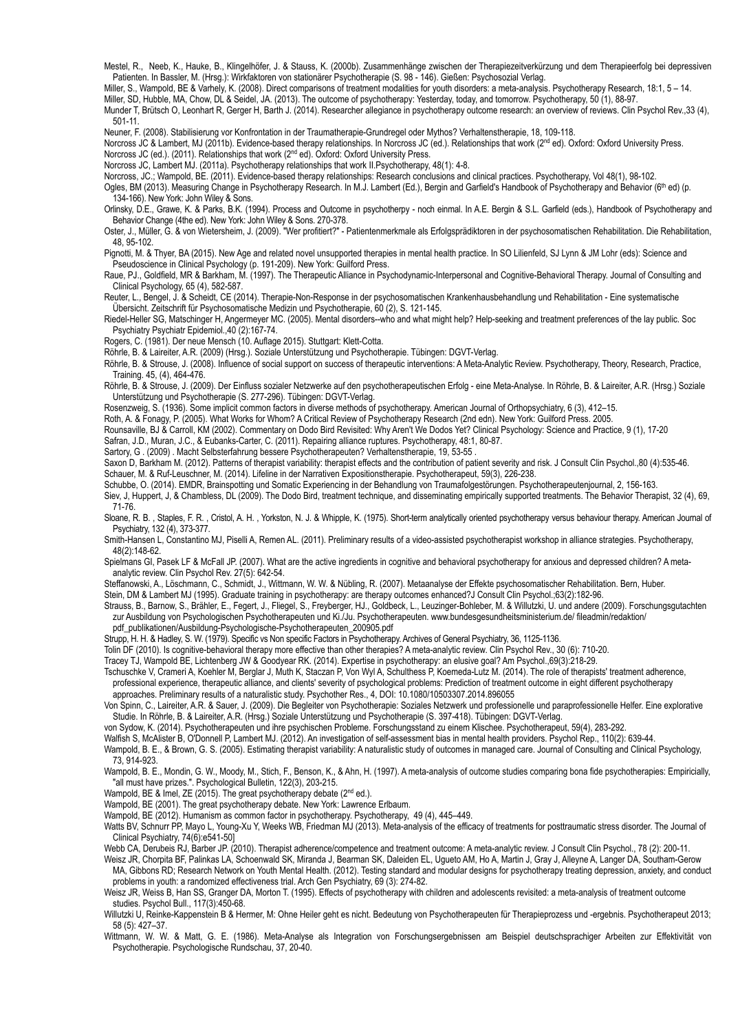Mestel, R., Neeb, K., Hauke, B., Klingelhöfer, J. & Stauss, K. (2000b). Zusammenhänge zwischen der Therapiezeitverkürzung und dem Therapieerfolg bei depressiven Patienten. In Bassler, M. (Hrsg.): Wirkfaktoren von stationärer Psychotherapie (S. 98 - 146). Gießen: Psychosozial Verlag.

Miller, S., Wampold, BE & Varhely, K. (2008). Direct comparisons of treatment modalities for youth disorders: a meta-analysis. Psychotherapy Research, 18:1, 5 – 14. Miller, SD, Hubble, MA, Chow, DL & Seidel, JA. (2013). The outcome of psychotherapy: Yesterday, today, and tomorrow. Psychotherapy, 50 (1), 88-97.

[Munder T](http://www.ncbi.nlm.nih.gov/pubmed/?term=munder%2520t%255bauthor%255d&cauthor=true&cauthor_uid=23500154), [Brütsch O](http://www.ncbi.nlm.nih.gov/pubmed/?term=br%25c3%25bctsch%2520o%255bauthor%255d&cauthor=true&cauthor_uid=23500154), [Leonhart R](http://www.ncbi.nlm.nih.gov/pubmed/?term=leonhart%2520r%255bauthor%255d&cauthor=true&cauthor_uid=23500154), [Gerger H,](http://www.ncbi.nlm.nih.gov/pubmed/?term=gerger%2520h%255bauthor%255d&cauthor=true&cauthor_uid=23500154) [Barth J](http://www.ncbi.nlm.nih.gov/pubmed/?term=barth%2520j%255bauthor%255d&cauthor=true&cauthor_uid=23500154). (2014). Researcher allegiance in psychotherapy outcome research: an overview of reviews. [Clin Psychol Rev.](http://www.ncbi.nlm.nih.gov/pubmed/23500154),33 (4), 501-11.

Neuner, F. (2008). Stabilisierung vor Konfrontation in der Traumatherapie-Grundregel oder Mythos? Verhaltenstherapie, 18, 109-118.

Norcross JC & Lambert, MJ (2011b). Evidence-based therapy relationships. In Norcross JC (ed.). Relationships that work (2<sup>nd</sup> ed). Oxford: Oxford: Oxford University Press. Norcross JC (ed.). (2011). Relationships that work (2<sup>nd</sup> ed). Oxford: Oxford University Press.

[Norcross JC](http://www.ncbi.nlm.nih.gov/pubmed/?term=norcross%2520jc%255bauthor%255d&cauthor=true&cauthor_uid=21401268), [Lambert MJ](http://www.ncbi.nlm.nih.gov/pubmed/?term=lambert%2520mj%255bauthor%255d&cauthor=true&cauthor_uid=21401268). (2011a). Psychotherapy relationships that work II.Psychotherapy, 48(1): 4-8.

Norcross, JC.; Wampold, BE. (2011). Evidence-based therapy relationships: Research conclusions and clinical practices. Psychotherapy, Vol 48(1), 98-102.

Ogles, BM (2013). Measuring Change in Psychotherapy Research. In M.J. Lambert (Ed.), Bergin and Garfield's Handbook of Psychotherapy and Behavior (6<sup>th</sup> ed) (p. 134-166). New York: John Wiley & Sons.

Orlinsky, D.E., Grawe, K. & Parks, B.K. (1994). Process and Outcome in psychotherpy - noch einmal. In A.E. Bergin & S.L. Garfield (eds.), Handbook of Psychotherapy and Behavior Change (4the ed). New York: John Wiley & Sons. 270-378.

Oster, J., Müller, G. & von Wietersheim, J. (2009). "Wer profitiert?" - Patientenmerkmale als Erfolgsprädiktoren in der psychosomatischen Rehabilitation. Die Rehabilitation, 48, 95-102.

Pignotti, M. & Thyer, BA (2015). New Age and related novel unsupported therapies in mental health practice. In SO Lilienfeld, SJ Lynn & JM Lohr (eds): Science and Pseudoscience in Clinical Psychology (p. 191-209). New York: Guilford Press.

Raue, PJ., Goldfield, MR & Barkham, M. (1997). The Therapeutic Alliance in Psychodynamic-Interpersonal and Cognitive-Behavioral Therapy. Journal of Consulting and Clinical Psychology, 65 (4), 582-587.

Reuter, L., Bengel, J. & Scheidt, CE (2014). Therapie-Non-Response in der psychosomatischen Krankenhausbehandlung und Rehabilitation - Eine systematische Übersicht. Zeitschrift für Psychosomatische Medizin und Psychotherapie, 60 (2), S. 121-145.

[Rie](http://www.ncbi.nlm.nih.gov/pubmed/?term=riedel-heller%2520sg%255bauthor%255d&cauthor=true&cauthor_uid=15685409)[del-Heller SG, Matschinger H, Angermeyer MC. \(2005\). Mental disorders--who and what might help? Help-seeking and treatment preferences of the lay public. Soc](http://www.ncbi.nlm.nih.gov/pubmed/15685409)  Psychiatry Psychiatr Epidemiol.,40 (2):167-74.

Rogers, C. (1981). Der neue Mensch (10. Auflage 2015). Stuttgart: Klett-Cotta.

Röhrle, B. & Laireiter, A.R. (2009) (Hrsg.). Soziale Unterstützung und Psychotherapie. Tübingen: DGVT-Verlag.

Röhrle, B. & Strouse, J. (2008). Influence of social support on success of therapeutic interventions: A Meta-Analytic Review. Psychotherapy, Theory, Research, Practice, Training. 45, (4), 464-476.

Röhrle, B. & Strouse, J. (2009). Der Einfluss sozialer Netzwerke auf den psychotherapeutischen Erfolg - eine Meta-Analyse. In Röhrle, B. & Laireiter, A.R. (Hrsg.) Soziale Unterstützung und Psychotherapie (S. 277-296). Tübingen: DGVT-Verlag.

[Rosenzweig, S.](http://en.wikipedia.org/wiki/saul_rosenzweig) (1936). Some implicit common factors in diverse methods of psychotherapy. [American Journal of Orthopsychiatry,](http://en.wikipedia.org/wiki/american_journal_of_orthopsychiatry) 6 (3), 412–15.

Roth, A. & Fonagy, P. (2005). What Works for Whom? A Critical Review of Psychotherapy Research (2nd edn). New York: Guilford Press. 2005.

Rounsaville, BJ & Carroll, KM (2002). Commentary on Dodo Bird Revisited: Why Aren't We Dodos Yet? Clinical Psychology: Science and Practice, 9 (1), 17-20

Safran, J.D., Muran, J.C., & Eubanks-Carter, C. (2011). Repairing alliance ruptures. Psychotherapy, 48:1, 80-87.

Sartory, G. (2009). Macht Selbsterfahrung bessere Psychotherapeuten? Verhaltenstherapie, 19, 53-55

[Saxon D](http://www.ncbi.nlm.nih.gov/pubmed/?term=saxon%2520d%255bauthor%255d&cauthor=true&cauthor_uid=22663902), [Barkham M](http://www.ncbi.nlm.nih.gov/pubmed/?term=barkham%2520m%255bauthor%255d&cauthor=true&cauthor_uid=22663902). (2012). Patterns of therapist variability: therapist effects and the contribution of patient severity and risk. [J Consult Clin Psychol.,](http://www.ncbi.nlm.nih.gov/pubmed/22663902)80 (4):535-46. Schauer, M. & Ruf-Leuschner, M. (2014). Lifeline in der Narrativen Expositionstherapie. Psychotherapeut, 59(3), 226-238.

Schubbe, O. (2014). EMDR, Brainspotting und Somatic Experiencing in der Behandlung von Traumafolgestörungen. Psychotherapeutenjournal, 2, 156-163.

Siev, J, Huppert, J, & Chambless, DL (2009). The Dodo Bird, treatment technique, and disseminating empirically supported treatments. The Behavior Therapist, 32 (4), 69, 71-76.

Sloane, R. B., Staples, F. R., Cristol, A. H., Yorkston, N. J. & Whipple, K. (1975). Short-term analytically oriented psychotherapy versus behaviour therapy. American Journal of Psychiatry, 132 (4), 373-377.

[Smith-Hansen L](http://www.ncbi.nlm.nih.gov/pubmed/?term=smith-hansen%2520l%255bauthor%255d&cauthor=true&cauthor_uid=21639658), [Constantino MJ](http://www.ncbi.nlm.nih.gov/pubmed/?term=constantino%2520mj%255bauthor%255d&cauthor=true&cauthor_uid=21639658), [Piselli A,](http://www.ncbi.nlm.nih.gov/pubmed/?term=piselli%2520a%255bauthor%255d&cauthor=true&cauthor_uid=21639658) [Remen AL](http://www.ncbi.nlm.nih.gov/pubmed/?term=remen%2520al%255bauthor%255d&cauthor=true&cauthor_uid=21639658). (2011). Preliminary results of a video-assisted psychotherapist workshop in alliance strategies. [Psychotherapy,](http://www.ncbi.nlm.nih.gov/pubmed/21639658)  48(2):148-62.

[Spielmans GI](http://www.ncbi.nlm.nih.gov/pubmed/?term=spielmans%2520gi%255bauthor%255d&cauthor=true&cauthor_uid=17368886), [Pasek LF](http://www.ncbi.nlm.nih.gov/pubmed/?term=pasek%2520lf%255bauthor%255d&cauthor=true&cauthor_uid=17368886) & [McFall JP.](http://www.ncbi.nlm.nih.gov/pubmed/?term=mcfall%2520jp%255bauthor%255d&cauthor=true&cauthor_uid=17368886) (2007). What are the active ingredients in cognitive and behavioral psychotherapy for anxious and depressed children? A metaanalytic review. [Clin Psychol Rev.](http://www.ncbi.nlm.nih.gov/pubmed/17368886) 27(5): 642-54.

Steffanowski, A., Löschmann, C., Schmidt, J., Wittmann, W. W. & Nübling, R. (2007). Metaanalyse der Effekte psychosomatischer Rehabilitation. Bern, Huber.

Stein, DM & Lambert MJ (1995). Graduate training in psychotherapy: are therapy outcomes enhanced?J Consult Clin Psychol.;63(2):182-96.

Strauss, B., Barnow, S., Brähler, E., Fegert, J., Fliegel, S., Freyberger, HJ., Goldbeck, L., Leuzinger-Bohleber, M. & Willutzki, U. und andere (2009). Forschungsgutachten zur Ausbildung von Psychologischen Psychotherapeuten und Ki./Ju. Psychotherapeuten. www.bundesgesundheitsministerium.de/ fileadmin/redaktion/ pdf\_publikationen/Ausbildung-Psychologische-Psychotherapeuten\_200905.pdf

Strupp, H. H. & Hadley, S. W. (1979). Specific vs Non specific Factors in Psychotherapy. Archives of General Psychiatry, 36, 1125-1136.

Tolin DF (2010). [Is cognitive-behavioral therapy more effective than other therapies? A meta-analytic review.](http://www.ncbi.nlm.nih.gov/pubmed/20547435) Clin Psychol Rev., 30 (6): 710-20.

[Tracey TJ,](http://www.ncbi.nlm.nih.gov/pubmed/?term=tracey%2520tj%255bauthor%255d&cauthor=true&cauthor_uid=24393136) [Wampold BE,](http://www.ncbi.nlm.nih.gov/pubmed/?term=wampold%2520be%255bauthor%255d&cauthor=true&cauthor_uid=24393136) [Lichtenberg JW](http://www.ncbi.nlm.nih.gov/pubmed/?term=lichtenberg%2520jw%255bauthor%255d&cauthor=true&cauthor_uid=24393136) & [Goodyear RK.](http://www.ncbi.nlm.nih.gov/pubmed/?term=goodyear%2520rk%255bauthor%255d&cauthor=true&cauthor_uid=24393136) (2014). Expertise in psychotherapy: an elusive goal? [Am Psychol.,](http://www.ncbi.nlm.nih.gov/pubmed/?term=tracey+wampold+expertise+in+psychotherapy)69(3):218-29.

[Tschuschke V](http://www.ncbi.nlm.nih.gov/pubmed/?term=tschuschke%2520v%255bauthor%255d&cauthor=true&cauthor_uid=24689912), [Crameri A,](http://www.ncbi.nlm.nih.gov/pubmed/?term=crameri%2520a%255bauthor%255d&cauthor=true&cauthor_uid=24689912) [Koehler M](http://www.ncbi.nlm.nih.gov/pubmed/?term=koehler%2520m%255bauthor%255d&cauthor=true&cauthor_uid=24689912), [Berglar J](http://www.ncbi.nlm.nih.gov/pubmed/?term=berglar%2520j%255bauthor%255d&cauthor=true&cauthor_uid=24689912), [Muth K,](http://www.ncbi.nlm.nih.gov/pubmed/?term=muth%2520k%255bauthor%255d&cauthor=true&cauthor_uid=24689912) [Staczan P](http://www.ncbi.nlm.nih.gov/pubmed/?term=staczan%2520p%255bauthor%255d&cauthor=true&cauthor_uid=24689912), [Von Wyl A](http://www.ncbi.nlm.nih.gov/pubmed/?term=von%2520wyl%2520a%255bauthor%255d&cauthor=true&cauthor_uid=24689912), [Schulthess P](http://www.ncbi.nlm.nih.gov/pubmed/?term=schulthess%2520p%255bauthor%255d&cauthor=true&cauthor_uid=24689912), [Koemeda-Lutz M.](http://www.ncbi.nlm.nih.gov/pubmed/?term=koemeda-lutz%2520m%255bauthor%255d&cauthor=true&cauthor_uid=24689912) (2014). The role of therapists' treatment adherence,

professional experience, therapeutic alliance, and clients' severity of psychological problems: Prediction of treatment outcome in eight different psychotherapy approaches. Preliminary results of a naturalistic study. [Psychother Res.,](http://www.ncbi.nlm.nih.gov/pubmed/?term=tschuschke+crameri) 4, DOI: 10.1080/10503307.2014.896055

Von Spinn, C., Laireiter, A.R. & Sauer, J. (2009). Die Begleiter von Psychotherapie: Soziales Netzwerk und professionelle und paraprofessionelle Helfer. Eine explorative Studie. In Röhrle, B. & Laireiter, A.R. (Hrsg.) Soziale Unterstützung und Psychotherapie (S. 397-418). Tübingen: DGVT-Verlag.

von Sydow, K. (2014). Psychotherapeuten und ihre psychischen Probleme. Forschungsstand zu einem Klischee. Psychotherapeut, 59(4), 283-292.

[Walfish S,](http://www.ncbi.nlm.nih.gov/pubmed/?term=walfish%2520s%255bauthor%255d&cauthor=true&cauthor_uid=22662416) [McAlister B](http://www.ncbi.nlm.nih.gov/pubmed/?term=mcalister%2520b%255bauthor%255d&cauthor=true&cauthor_uid=22662416), [O'Donnell P,](http://www.ncbi.nlm.nih.gov/pubmed/?term=o%2527donnell%2520p%255bauthor%255d&cauthor=true&cauthor_uid=22662416) [Lambert MJ](http://www.ncbi.nlm.nih.gov/pubmed/?term=lambert%2520mj%255bauthor%255d&cauthor=true&cauthor_uid=22662416). (2012). An investigation of self-assessment bias in mental health providers. [Psychol Rep.](http://www.ncbi.nlm.nih.gov/pubmed/22662416), 110(2): 639-44.

Wampold, B. E., & Brown, G. S. (2005). Estimating therapist variability: A naturalistic study of outcomes in managed care. Journal of Consulting and Clinical Psychology, 73, 914-923.

Wampold, B. E., Mondin, G. W., Moody, M., Stich, F., Benson, K., & Ahn, H. (1997). A meta-analysis of outcome studies comparing bona fide psychotherapies: Empiricially, "all must have prizes.". Psychological Bulletin, 122(3), 203-215.

Wampold, BE & Imel, ZE (2015). The great psychotherapy debate (2<sup>nd</sup> ed.).

Wampold, BE (2001). The great psychotherapy debate. New York: Lawrence Erlbaum.

Wampold, BE (2012). Humanism as common factor in psychotherapy. Psychotherapy, 49 (4), 445–449.

[Wa](http://europepmc.org/search;jsessionid=vrlsu038vgwucgzdevsv.1?page=1&query=auth:%2522watts+bv%2522)tts BV, Schnurr PP, Mayo L, Young-Xu Y, Weeks WB, Friedman MJ (2013). Meta-analysis of the efficacy of treatments for posttraumatic stress disorder. The Journal of Clinical Psychiatry, 74(6):e541-50]

[Webb CA](http://www.ncbi.nlm.nih.gov/pubmed/?term=webb%2520ca%255bauthor%255d&cauthor=true&cauthor_uid=20350031), [Derubeis RJ,](http://www.ncbi.nlm.nih.gov/pubmed/?term=derubeis%2520rj%255bauthor%255d&cauthor=true&cauthor_uid=20350031) [Barber JP.](http://www.ncbi.nlm.nih.gov/pubmed/?term=barber%2520jp%255bauthor%255d&cauthor=true&cauthor_uid=20350031) (2010). Therapist adherence/competence and treatment outcome: A meta-analytic review. [J Consult Clin Psychol.](http://www.ncbi.nlm.nih.gov/pubmed/20350031), 78 (2): 200-11.

[We](http://www.ncbi.nlm.nih.gov/pubmed/?term=weisz%2520jr%255bauthor%255d&cauthor=true&cauthor_uid=22065252)[isz JR, Chorpita BF, Palinkas LA, Schoenwald SK, Miranda J, Bearman SK, Daleiden EL, Ugueto AM, Ho A, Martin J, Gray J, Alleyne A, Langer DA, Southam-Gerow](http://www.ncbi.nlm.nih.gov/pubmed/?term=southam-gerow%2520ma%255bauthor%255d&cauthor=true&cauthor_uid=22065252)  MA, [Gibbons RD](http://www.ncbi.nlm.nih.gov/pubmed/?term=gibbons%2520rd%255bauthor%255d&cauthor=true&cauthor_uid=22065252); [Research Network on Youth Mental Health.](http://www.ncbi.nlm.nih.gov/pubmed/?term=research%2520network%2520on%2520youth%2520mental%2520health%255bcorporate%2520author%255d) (2012). Testing standard and modular designs for psychotherapy treating depression, anxiety, and conduct problems in youth: a randomized effectiveness trial. [Arch Gen Psychiatry](http://www.ncbi.nlm.nih.gov/pubmed/22065252), 69 (3): 274-82.

W[eisz JR, Weiss B, Han SS, Granger DA, Morton T. \(1995\). Effects of psychotherapy with children and adolescents revisited: a meta-analysis of treatment outcome](http://www.ncbi.nlm.nih.gov/pubmed/7777649)  studies. Psychol Bull., 117(3):450-68.

Willutzki U, Reinke-Kappenstein B & Hermer, M: Ohne Heiler geht es nicht. Bedeutung von Psychotherapeuten für Therapieprozess und -ergebnis. Psychotherapeut 2013; 58 (5): 427–37.

Wittmann, W. W. & Matt, G. E. (1986). Meta-Analyse als Integration von Forschungsergebnissen am Beispiel deutschsprachiger Arbeiten zur Effektivität von Psychotherapie. Psychologische Rundschau, 37, 20-40.